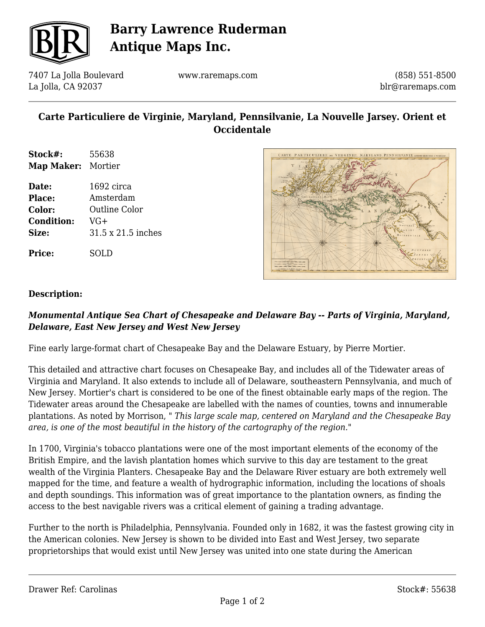

# **Barry Lawrence Ruderman Antique Maps Inc.**

7407 La Jolla Boulevard La Jolla, CA 92037

www.raremaps.com

(858) 551-8500 blr@raremaps.com

## **Carte Particuliere de Virginie, Maryland, Pennsilvanie, La Nouvelle Jarsey. Orient et Occidentale**

- **Stock#:** 55638 **Map Maker:** Mortier
- **Date:** 1692 circa **Place:** Amsterdam **Color:** Outline Color **Condition:** VG+ **Size:** 31.5 x 21.5 inches

**Price:** SOLD



#### **Description:**

### *Monumental Antique Sea Chart of Chesapeake and Delaware Bay -- Parts of Virginia, Maryland, Delaware, East New Jersey and West New Jersey*

Fine early large-format chart of Chesapeake Bay and the Delaware Estuary, by Pierre Mortier.

This detailed and attractive chart focuses on Chesapeake Bay, and includes all of the Tidewater areas of Virginia and Maryland. It also extends to include all of Delaware, southeastern Pennsylvania, and much of New Jersey. Mortier's chart is considered to be one of the finest obtainable early maps of the region. The Tidewater areas around the Chesapeake are labelled with the names of counties, towns and innumerable plantations. As noted by Morrison, " *This large scale map, centered on Maryland and the Chesapeake Bay area, is one of the most beautiful in the history of the cartography of the region."*

In 1700, Virginia's tobacco plantations were one of the most important elements of the economy of the British Empire, and the lavish plantation homes which survive to this day are testament to the great wealth of the Virginia Planters. Chesapeake Bay and the Delaware River estuary are both extremely well mapped for the time, and feature a wealth of hydrographic information, including the locations of shoals and depth soundings. This information was of great importance to the plantation owners, as finding the access to the best navigable rivers was a critical element of gaining a trading advantage.

Further to the north is Philadelphia, Pennsylvania. Founded only in 1682, it was the fastest growing city in the American colonies. New Jersey is shown to be divided into East and West Jersey, two separate proprietorships that would exist until New Jersey was united into one state during the American